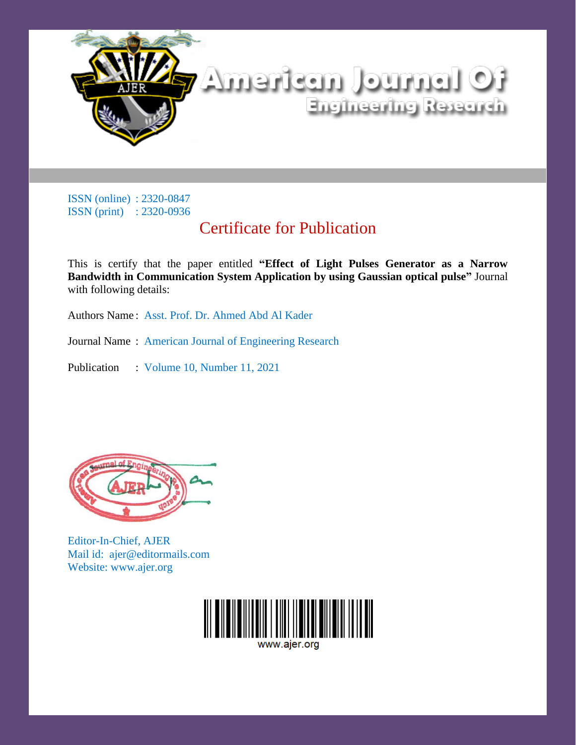

ISSN (online) : 2320-0847 ISSN (print) : 2320-0936

## Certificate for Publication

This is certify that the paper entitled **"Effect of Light Pulses Generator as a Narrow Bandwidth in Communication System Application by using Gaussian optical pulse"** Journal with following details:

Authors Name : Asst. Prof. Dr. Ahmed Abd Al Kader

Journal Name : American Journal of Engineering Research

Publication : Volume 10, Number 11, 2021



Editor-In-Chief, AJER Mail id: ajer@editormails.com Website: www.ajer.org



www.aier.org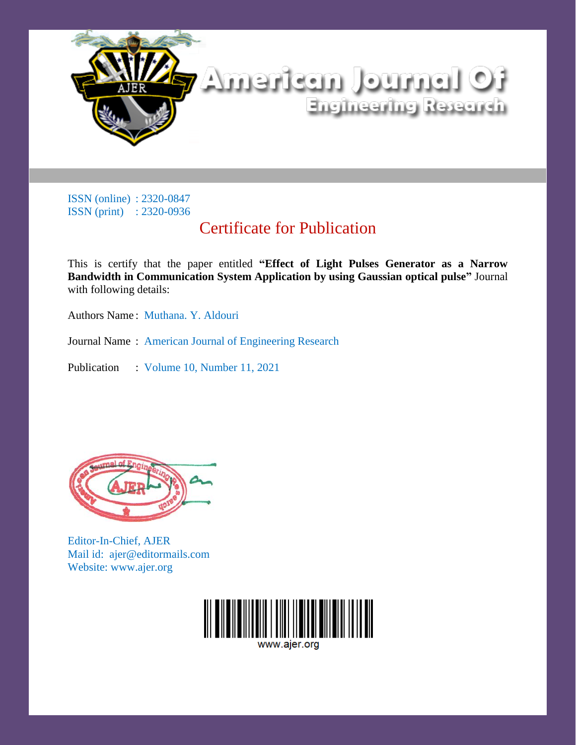

ISSN (online) : 2320-0847 ISSN (print) : 2320-0936

## Certificate for Publication

This is certify that the paper entitled **"Effect of Light Pulses Generator as a Narrow Bandwidth in Communication System Application by using Gaussian optical pulse"** Journal with following details:

Authors Name : Muthana. Y. Aldouri

Journal Name : American Journal of Engineering Research

Publication : Volume 10, Number 11, 2021



Editor-In-Chief, AJER Mail id: ajer@editormails.com Website: www.ajer.org



www.aier.org